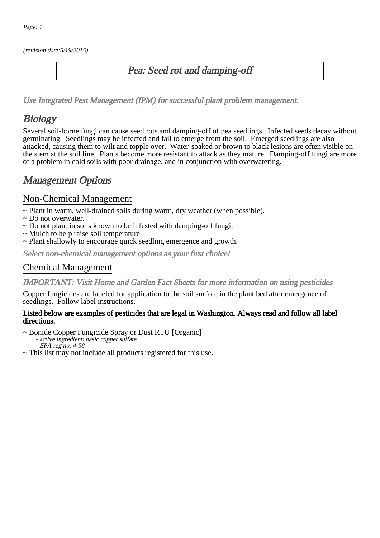(revision date:5/19/2015)

### Pea: Seed rot and damping-off

[Use Integrated Pest Management \(IPM\) for successful plant problem management.](http://pep.wsu.edu/Home_Garden/H_G_Pesticide_info/urban_Integrated_Pest_Managmen/)

# **Biology**

Several soil-borne fungi can cause seed rots and damping-off of pea seedlings. Infected seeds decay without germinating. Seedlings may be infected and fail to emerge from the soil. Emerged seedlings are also attacked, causing them to wilt and topple over. Water-soaked or brown to black lesions are often visible on the stem at the soil line. Plants become more resistant to attack as they mature. Damping-off fungi are more of a problem in cold soils with poor drainage, and in conjunction with overwatering.

# Management Options

### Non-Chemical Management

~ Plant in warm, well-drained soils during warm, dry weather (when possible).

- ~ Do not overwater.
- ~ Do not plant in soils known to be infested with damping-off fungi.
- ~ Mulch to help raise soil temperature.
- ~ Plant shallowly to encourage quick seedling emergence and growth.

Select non-chemical management options as your first choice!

#### Chemical Management

IMPORTANT: [Visit Home and Garden Fact Sheets for more information on using pesticides](http://pep.wsu.edu/Home_Garden/H_G_Pesticide_info/)

Copper fungicides are labeled for application to the soil surface in the plant bed after emergence of seedlings. Follow label instructions.

#### Listed below are examples of pesticides that are legal in Washington. Always read and follow all label directions.

~ Bonide Copper Fungicide Spray or Dust RTU [Organic]

- active ingredient: basic copper sulfate

- EPA reg no: 4-58

~ This list may not include all products registered for this use.